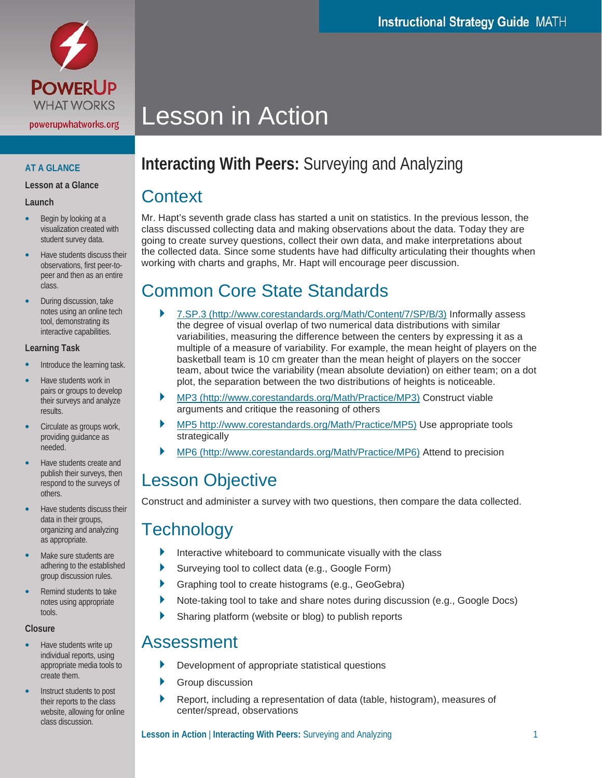

### **AT A GLANCE**

**Lesson at a Glance**

#### **Launch**

- Begin by looking at a visualization created with student survey data.
- Have students discuss their observations, first peer-topeer and then as an entire class.
- During discussion, take notes using an online tech tool, demonstrating its interactive capabilities.

#### **Learning Task**

- Introduce the learning task.
- Have students work in pairs or groups to develop their surveys and analyze results.
- Circulate as groups work, providing guidance as needed.
- Have students create and publish their surveys, then respond to the surveys of others.
- Have students discuss their data in their groups, organizing and analyzing as appropriate.
- Make sure students are adhering to the established group discussion rules.
- Remind students to take notes using appropriate tools.

#### **Closure**

- Have students write up individual reports, using appropriate media tools to create them.
- Instruct students to post their reports to the class website, allowing for online class discussion.

# Lesson in Action

## **Interacting With Peers:** Surveying and Analyzing

### **Context**

Mr. Hapt's seventh grade class has started a unit on statistics. In the previous lesson, the class discussed collecting data and making observations about the data. Today they are going to create survey questions, collect their own data, and make interpretations about the collected data. Since some students have had difficulty articulating their thoughts when working with charts and graphs, Mr. Hapt will encourage peer discussion.

### Common Core State Standards

- 7.SP.3 [\(http://www.corestandards.org/Math/Content/7/SP/B/3\)](http://www.corestandards.org/Math/Content/7/SP/B/3) Informally assess the degree of visual overlap of two numerical data distributions with similar variabilities, measuring the difference between the centers by expressing it as a multiple of a measure of variability. For example, the mean height of players on the basketball team is 10 cm greater than the mean height of players on the soccer team, about twice the variability (mean absolute deviation) on either team; on a dot plot, the separation between the two distributions of heights is noticeable.
- MP3 [\(http://www.corestandards.org/Math/Practice/MP3\)](http://www.corestandards.org/Math/Practice/MP3) Construct viable arguments and critique the reasoning of others
- MP5 [http://www.corestandards.org/Math/Practice/MP5\)](http://www.corestandards.org/Math/Practice/MP5) Use appropriate tools strategically
- MP6 [\(http://www.corestandards.org/Math/Practice/MP6\)](http://www.corestandards.org/Math/Practice/MP6) Attend to precision

## Lesson Objective

Construct and administer a survey with two questions, then compare the data collected.

### **Technology**

- Interactive whiteboard to communicate visually with the class
- Surveying tool to collect data (e.g., Google Form)
- Graphing tool to create histograms (e.g., GeoGebra)
- Note-taking tool to take and share notes during discussion (e.g., Google Docs)
- Sharing platform (website or blog) to publish reports

### Assessment

- Development of appropriate statistical questions
- Group discussion
- Report, including a representation of data (table, histogram), measures of center/spread, observations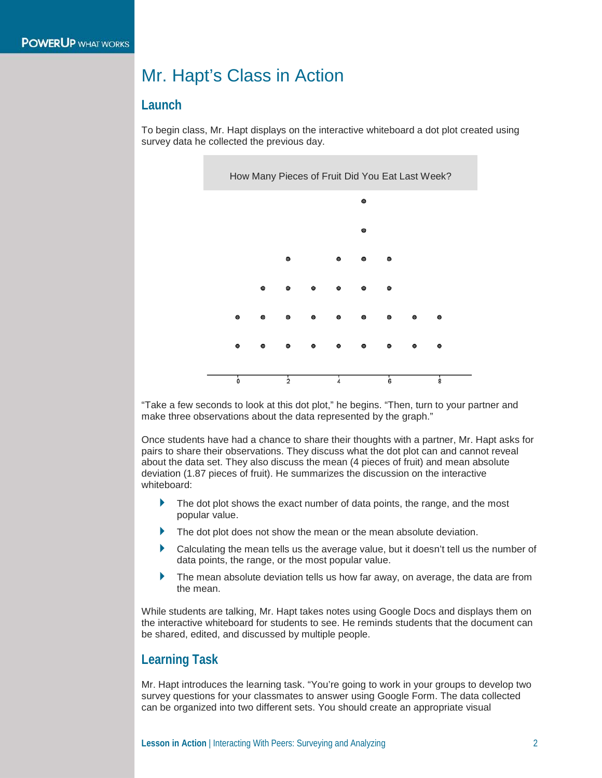### Mr. Hapt's Class in Action

#### **Launch**

To begin class, Mr. Hapt displays on the interactive whiteboard a dot plot created using survey data he collected the previous day.



"Take a few seconds to look at this dot plot," he begins. "Then, turn to your partner and make three observations about the data represented by the graph."

Once students have had a chance to share their thoughts with a partner, Mr. Hapt asks for pairs to share their observations. They discuss what the dot plot can and cannot reveal about the data set. They also discuss the mean (4 pieces of fruit) and mean absolute deviation (1.87 pieces of fruit). He summarizes the discussion on the interactive whiteboard:

- The dot plot shows the exact number of data points, the range, and the most popular value.
- The dot plot does not show the mean or the mean absolute deviation.
- Calculating the mean tells us the average value, but it doesn't tell us the number of data points, the range, or the most popular value.
- The mean absolute deviation tells us how far away, on average, the data are from the mean.

While students are talking, Mr. Hapt takes notes using Google Docs and displays them on the interactive whiteboard for students to see. He reminds students that the document can be shared, edited, and discussed by multiple people.

### **Learning Task**

Mr. Hapt introduces the learning task. "You're going to work in your groups to develop two survey questions for your classmates to answer using Google Form. The data collected can be organized into two different sets. You should create an appropriate visual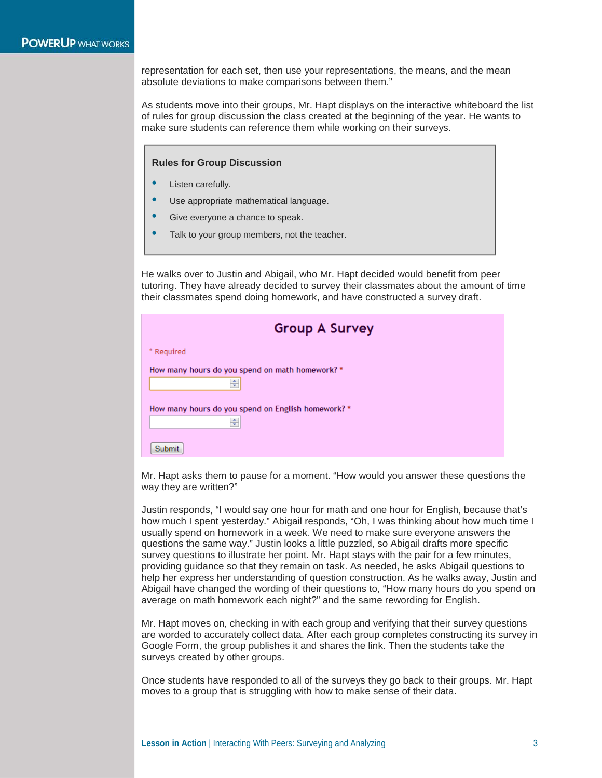representation for each set, then use your representations, the means, and the mean absolute deviations to make comparisons between them."

As students move into their groups, Mr. Hapt displays on the interactive whiteboard the list of rules for group discussion the class created at the beginning of the year. He wants to make sure students can reference them while working on their surveys.

**Rules for Group Discussion**

- Listen carefully.
- Use appropriate mathematical language.
- Give everyone a chance to speak.
- Talk to your group members, not the teacher.

He walks over to Justin and Abigail, who Mr. Hapt decided would benefit from peer tutoring. They have already decided to survey their classmates about the amount of time their classmates spend doing homework, and have constructed a survey draft.

| <b>Group A Survey</b>                                   |  |
|---------------------------------------------------------|--|
| * Required                                              |  |
| How many hours do you spend on math homework? *<br>÷    |  |
| How many hours do you spend on English homework? *<br>÷ |  |
| Submit                                                  |  |

Mr. Hapt asks them to pause for a moment. "How would you answer these questions the way they are written?"

Justin responds, "I would say one hour for math and one hour for English, because that's how much I spent yesterday." Abigail responds, "Oh, I was thinking about how much time I usually spend on homework in a week. We need to make sure everyone answers the questions the same way." Justin looks a little puzzled, so Abigail drafts more specific survey questions to illustrate her point. Mr. Hapt stays with the pair for a few minutes, providing guidance so that they remain on task. As needed, he asks Abigail questions to help her express her understanding of question construction. As he walks away, Justin and Abigail have changed the wording of their questions to, "How many hours do you spend on average on math homework each night?" and the same rewording for English.

Mr. Hapt moves on, checking in with each group and verifying that their survey questions are worded to accurately collect data. After each group completes constructing its survey in Google Form, the group publishes it and shares the link. Then the students take the surveys created by other groups.

Once students have responded to all of the surveys they go back to their groups. Mr. Hapt moves to a group that is struggling with how to make sense of their data.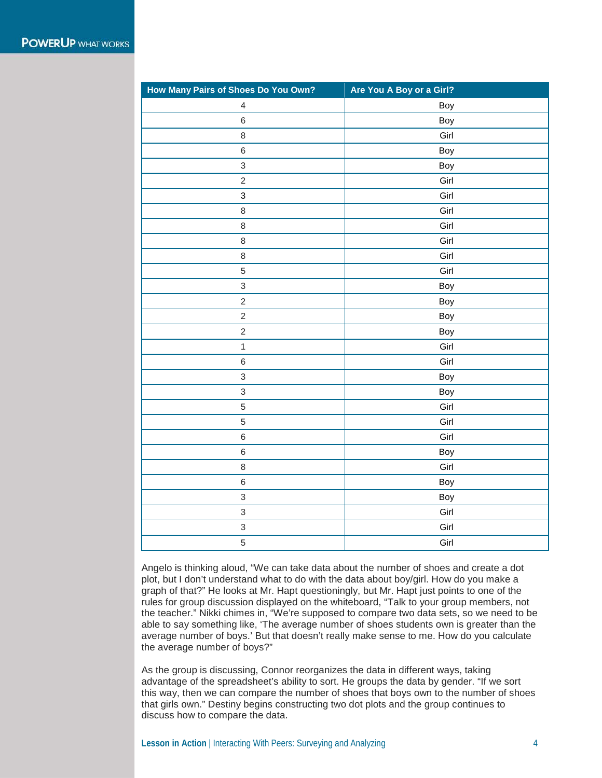| How Many Pairs of Shoes Do You Own? | Are You A Boy or a Girl? |
|-------------------------------------|--------------------------|
| $\overline{4}$                      | Boy                      |
| $\,6\,$                             | Boy                      |
| $\,8\,$                             | Girl                     |
| $\,6$                               | Boy                      |
| $\ensuremath{\mathsf{3}}$           | Boy                      |
| $\sqrt{2}$                          | Girl                     |
| 3                                   | Girl                     |
| $\,8\,$                             | Girl                     |
| $\,8\,$                             | Girl                     |
| $\,8\,$                             | Girl                     |
| $\,8\,$                             | Girl                     |
| $\,$ 5 $\,$                         | Girl                     |
| $\mathsf 3$                         | Boy                      |
| $\sqrt{2}$                          | Boy                      |
| $\overline{c}$                      | Boy                      |
| $\overline{c}$                      | Boy                      |
| $\mathbf{1}$                        | Girl                     |
| $\,$ 6 $\,$                         | Girl                     |
| $\ensuremath{\mathsf{3}}$           | Boy                      |
| $\ensuremath{\mathsf{3}}$           | Boy                      |
| 5                                   | Girl                     |
| 5                                   | Girl                     |
| $\,6\,$                             | Girl                     |
| $\,6\,$                             | Boy                      |
| $\,8\,$                             | Girl                     |
| $\,$ 6 $\,$                         | Boy                      |
| $\ensuremath{\mathsf{3}}$           | Boy                      |
| $\overline{3}$                      | Girl                     |
| $\ensuremath{\mathsf{3}}$           | Girl                     |
| 5                                   | Girl                     |

Angelo is thinking aloud, "We can take data about the number of shoes and create a dot plot, but I don't understand what to do with the data about boy/girl. How do you make a graph of that?" He looks at Mr. Hapt questioningly, but Mr. Hapt just points to one of the rules for group discussion displayed on the whiteboard, "Talk to your group members, not the teacher." Nikki chimes in, "We're supposed to compare two data sets, so we need to be able to say something like, 'The average number of shoes students own is greater than the average number of boys.' But that doesn't really make sense to me. How do you calculate the average number of boys?"

As the group is discussing, Connor reorganizes the data in different ways, taking advantage of the spreadsheet's ability to sort. He groups the data by gender. "If we sort this way, then we can compare the number of shoes that boys own to the number of shoes that girls own." Destiny begins constructing two dot plots and the group continues to discuss how to compare the data.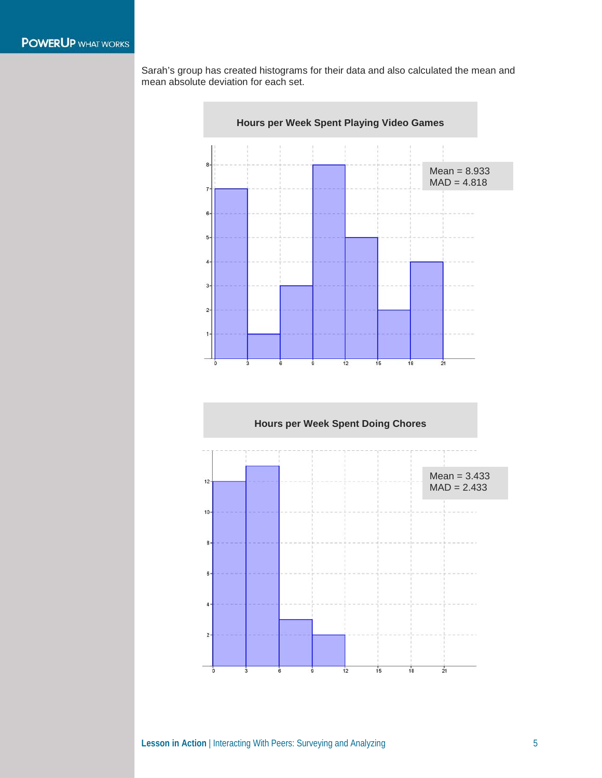Sarah's group has created histograms for their data and also calculated the mean and mean absolute deviation for each set.